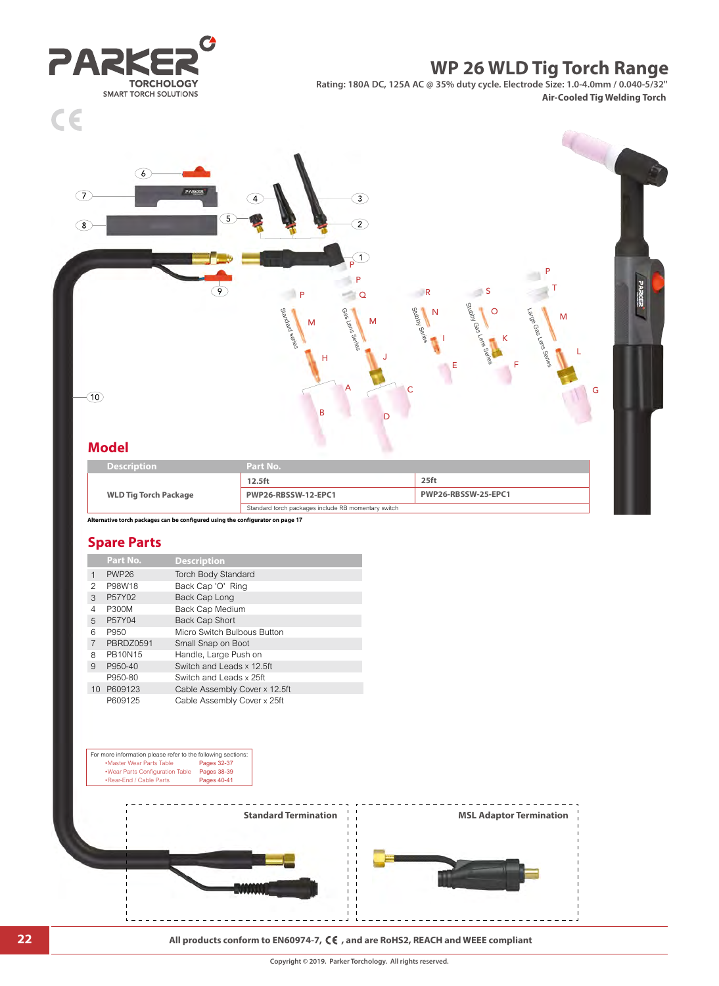**22 All products conform to EN60974-7, CE**, and are RoHS2, REACH and WEEE compliant



| <b>Model</b>                 |                     |                     |
|------------------------------|---------------------|---------------------|
| <b>Description</b>           | Part No.            |                     |
|                              | 12.5 <sub>ft</sub>  | 25 <sub>ft</sub>    |
| <b>WLD Tig Torch Package</b> | PWP26-RBSSW-12-EPC1 | PWP26-RBSSW-25-EPC1 |

B<sub>D</sub>

A

M Research

H

P P

÷.

 $\odot$ 

 $\bigcirc$ 

1

Stubby Series

C

J

N

I

E

**Q** R S

Stubby Gas Lens Series

O

K

F

Standard torch packages include RB momentary switch

Standard series

P

 $\frac{1}{4}$ 

 $\overline{\mathcal{P}}$ 

 $\bigcirc$ 



 $\sqrt{6}$ 

 $\epsilon$ 

 $\overline{C}$ 

 $\circledcirc$ 

# **WP 26 WLD Tig Torch Range**

Large Gas Le<sup>ns Sed</sup><br>Large Gas Lens Sed

P T

 $-11$ 

M

L

G

**Rating: 180A DC, 125A AC @ 35% duty cycle. Electrode Size: 1.0-4.0mm / 0.040-5/32'' Air-Cooled Tig Welding Torch**